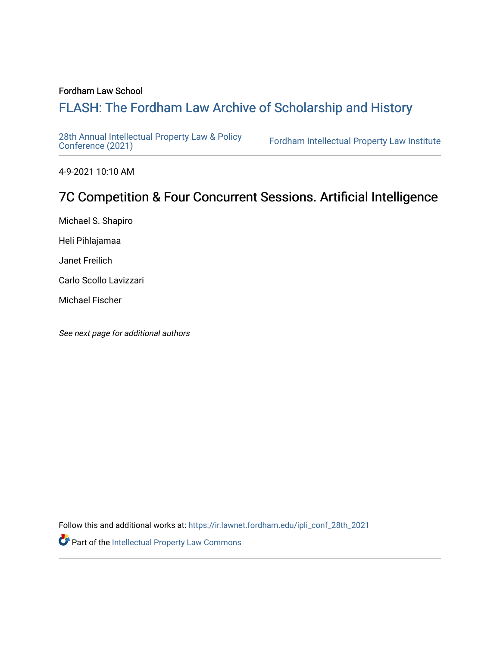## Fordham Law School

# FLASH: The For[dham Law Archive of Scholarship and Hist](https://ir.lawnet.fordham.edu/)ory

[28th Annual Intellectual Property Law & Policy](https://ir.lawnet.fordham.edu/ipli_conf_28th_2021)<br>Conference (2021)

Fordham Intellectual Property Law Institute

4-9-2021 10:10 AM

# 7C Competition & Four Concurrent Sessions. Artificial Intelligence

Michael S. Shapiro

Heli Pihlajamaa

Janet Freilich

Carlo Scollo Lavizzari

Michael Fischer

See next page for additional authors

Follow this and additional works at: [https://ir.lawnet.fordham.edu/ipli\\_conf\\_28th\\_2021](https://ir.lawnet.fordham.edu/ipli_conf_28th_2021?utm_source=ir.lawnet.fordham.edu%2Fipli_conf_28th_2021%2F23&utm_medium=PDF&utm_campaign=PDFCoverPages) 

Part of the [Intellectual Property Law Commons](http://network.bepress.com/hgg/discipline/896?utm_source=ir.lawnet.fordham.edu%2Fipli_conf_28th_2021%2F23&utm_medium=PDF&utm_campaign=PDFCoverPages)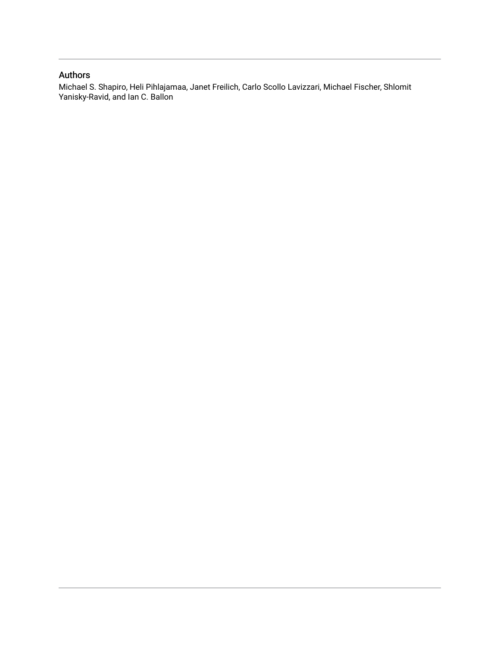## Authors

Michael S. Shapiro, Heli Pihlajamaa, Janet Freilich, Carlo Scollo Lavizzari, Michael Fischer, Shlomit Yanisky-Ravid, and Ian C. Ballon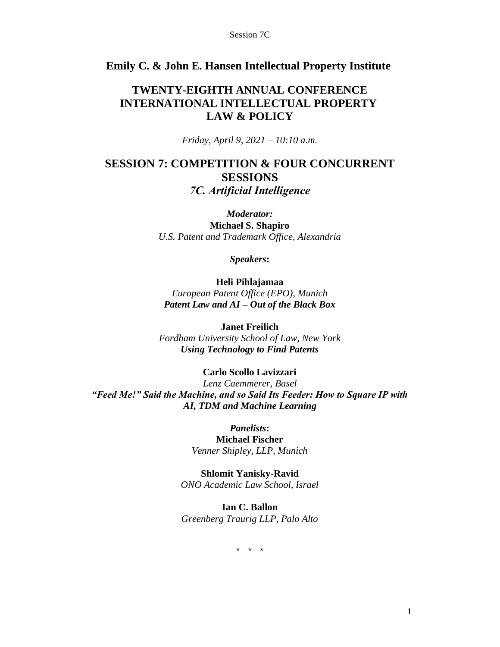## **Emily C. & John E. Hansen Intellectual Property Institute**

## **TWENTY-EIGHTH ANNUAL CONFERENCE INTERNATIONAL INTELLECTUAL PROPERTY LAW & POLICY**

*Friday, April 9, 2021 – 10:10 a.m.*

## **SESSION 7: COMPETITION & FOUR CONCURRENT SESSIONS** *7C. Artificial Intelligence*

*Moderator:* **Michael S. Shapiro** *U.S. Patent and Trademark Office, Alexandria*

*Speakers***:**

**Heli Pihlajamaa** *European Patent Office (EPO), Munich Patent Law and AI – Out of the Black Box*

**Janet Freilich** *Fordham University School of Law, New York Using Technology to Find Patents*

## **Carlo Scollo Lavizzari**

*Lenz Caemmerer, Basel "Feed Me!" Said the Machine, and so Said Its Feeder: How to Square IP with AI, TDM and Machine Learning*

> *Panelists***: Michael Fischer** *Venner Shipley, LLP, Munich*

**Shlomit Yanisky-Ravid** *ONO Academic Law School, Israel*

**Ian C. Ballon** *Greenberg Traurig LLP, Palo Alto*

\* \* \*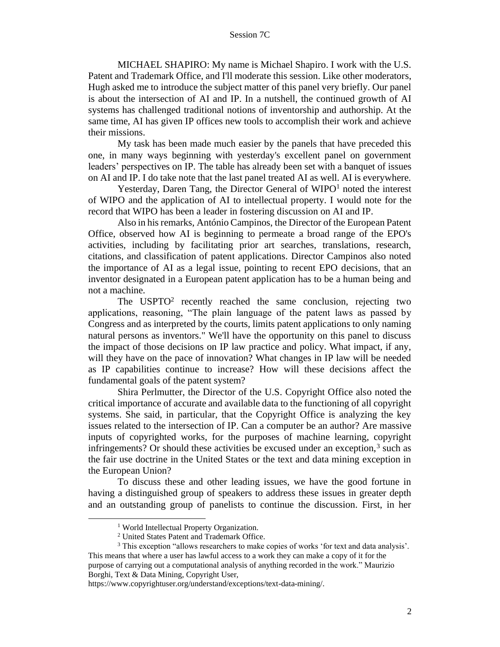MICHAEL SHAPIRO: My name is Michael Shapiro. I work with the U.S. Patent and Trademark Office, and I'll moderate this session. Like other moderators, Hugh asked me to introduce the subject matter of this panel very briefly. Our panel is about the intersection of AI and IP. In a nutshell, the continued growth of AI systems has challenged traditional notions of inventorship and authorship. At the same time, AI has given IP offices new tools to accomplish their work and achieve their missions.

My task has been made much easier by the panels that have preceded this one, in many ways beginning with yesterday's excellent panel on government leaders' perspectives on IP. The table has already been set with a banquet of issues on AI and IP. I do take note that the last panel treated AI as well. AI is everywhere.

Yesterday, Daren Tang, the Director General of  $W \Gamma Q^1$  noted the interest of WIPO and the application of AI to intellectual property. I would note for the record that WIPO has been a leader in fostering discussion on AI and IP.

Also in his remarks, António Campinos, the Director of the European Patent Office, observed how AI is beginning to permeate a broad range of the EPO's activities, including by facilitating prior art searches, translations, research, citations, and classification of patent applications. Director Campinos also noted the importance of AI as a legal issue, pointing to recent EPO decisions, that an inventor designated in a European patent application has to be a human being and not a machine.

The  $USPTO<sup>2</sup>$  recently reached the same conclusion, rejecting two applications, reasoning, "The plain language of the patent laws as passed by Congress and as interpreted by the courts, limits patent applications to only naming natural persons as inventors." We'll have the opportunity on this panel to discuss the impact of those decisions on IP law practice and policy. What impact, if any, will they have on the pace of innovation? What changes in IP law will be needed as IP capabilities continue to increase? How will these decisions affect the fundamental goals of the patent system?

Shira Perlmutter, the Director of the U.S. Copyright Office also noted the critical importance of accurate and available data to the functioning of all copyright systems. She said, in particular, that the Copyright Office is analyzing the key issues related to the intersection of IP. Can a computer be an author? Are massive inputs of copyrighted works, for the purposes of machine learning, copyright infringements? Or should these activities be excused under an exception, $3$  such as the fair use doctrine in the United States or the text and data mining exception in the European Union?

To discuss these and other leading issues, we have the good fortune in having a distinguished group of speakers to address these issues in greater depth and an outstanding group of panelists to continue the discussion. First, in her

<sup>&</sup>lt;sup>1</sup> World Intellectual Property Organization.

<sup>2</sup> United States Patent and Trademark Office.

<sup>&</sup>lt;sup>3</sup> This exception "allows researchers to make copies of works 'for text and data analysis'. This means that where a user has lawful access to a work they can make a copy of it for the purpose of carrying out a computational analysis of anything recorded in the work." Maurizio Borghi, Text & Data Mining, Copyright User,

https://www.copyrightuser.org/understand/exceptions/text-data-mining/.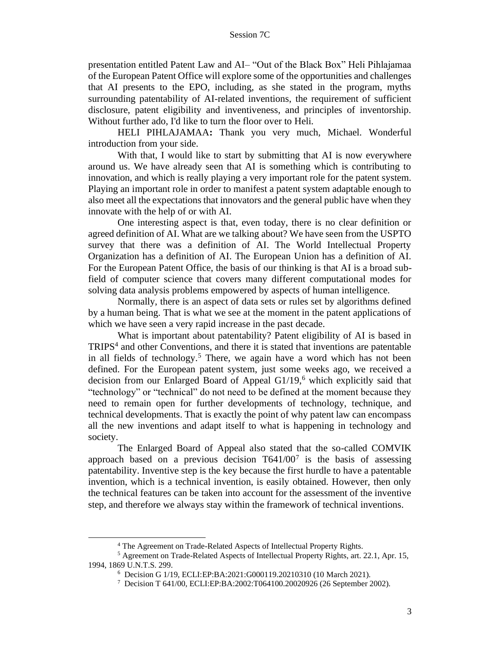presentation entitled Patent Law and AI– "Out of the Black Box" Heli Pihlajamaa of the European Patent Office will explore some of the opportunities and challenges that AI presents to the EPO, including, as she stated in the program, myths surrounding patentability of AI-related inventions, the requirement of sufficient disclosure, patent eligibility and inventiveness, and principles of inventorship. Without further ado, I'd like to turn the floor over to Heli.

HELI PIHLAJAMAA**:** Thank you very much, Michael. Wonderful introduction from your side.

With that, I would like to start by submitting that AI is now everywhere around us. We have already seen that AI is something which is contributing to innovation, and which is really playing a very important role for the patent system. Playing an important role in order to manifest a patent system adaptable enough to also meet all the expectations that innovators and the general public have when they innovate with the help of or with AI.

One interesting aspect is that, even today, there is no clear definition or agreed definition of AI. What are we talking about? We have seen from the USPTO survey that there was a definition of AI. The World Intellectual Property Organization has a definition of AI. The European Union has a definition of AI. For the European Patent Office, the basis of our thinking is that AI is a broad subfield of computer science that covers many different computational modes for solving data analysis problems empowered by aspects of human intelligence.

Normally, there is an aspect of data sets or rules set by algorithms defined by a human being. That is what we see at the moment in the patent applications of which we have seen a very rapid increase in the past decade.

What is important about patentability? Patent eligibility of AI is based in TRIPS<sup>4</sup> and other Conventions, and there it is stated that inventions are patentable in all fields of technology.<sup>5</sup> There, we again have a word which has not been defined. For the European patent system, just some weeks ago, we received a decision from our Enlarged Board of Appeal G1/19,<sup>6</sup> which explicitly said that "technology" or "technical" do not need to be defined at the moment because they need to remain open for further developments of technology, technique, and technical developments. That is exactly the point of why patent law can encompass all the new inventions and adapt itself to what is happening in technology and society.

The Enlarged Board of Appeal also stated that the so-called COMVIK approach based on a previous decision  $T641/00<sup>7</sup>$  is the basis of assessing patentability. Inventive step is the key because the first hurdle to have a patentable invention, which is a technical invention, is easily obtained. However, then only the technical features can be taken into account for the assessment of the inventive step, and therefore we always stay within the framework of technical inventions.

<sup>4</sup> The Agreement on Trade-Related Aspects of Intellectual Property Rights.

<sup>5</sup> Agreement on Trade-Related Aspects of Intellectual Property Rights, art. 22.1, Apr. 15, 1994, 1869 U.N.T.S. 299.

<sup>6</sup> Decision G 1/19, ECLI:EP:BA:2021:G000119.20210310 (10 March 2021).

<sup>7</sup> Decision T 641/00, ECLI:EP:BA:2002:T064100.20020926 (26 September 2002).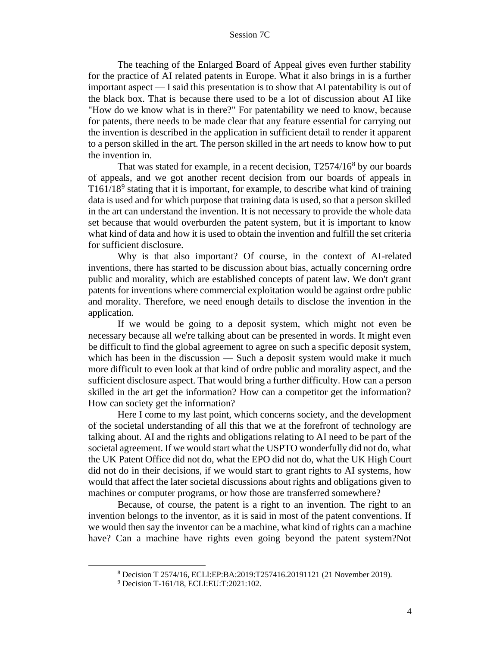The teaching of the Enlarged Board of Appeal gives even further stability for the practice of AI related patents in Europe. What it also brings in is a further important aspect — I said this presentation is to show that AI patentability is out of the black box. That is because there used to be a lot of discussion about AI like "How do we know what is in there?" For patentability we need to know, because for patents, there needs to be made clear that any feature essential for carrying out the invention is described in the application in sufficient detail to render it apparent to a person skilled in the art. The person skilled in the art needs to know how to put the invention in.

That was stated for example, in a recent decision, T2574/16<sup>8</sup> by our boards of appeals, and we got another recent decision from our boards of appeals in T161/18<sup>9</sup> stating that it is important, for example, to describe what kind of training data is used and for which purpose that training data is used, so that a person skilled in the art can understand the invention. It is not necessary to provide the whole data set because that would overburden the patent system, but it is important to know what kind of data and how it is used to obtain the invention and fulfill the set criteria for sufficient disclosure.

Why is that also important? Of course, in the context of AI-related inventions, there has started to be discussion about bias, actually concerning ordre public and morality, which are established concepts of patent law. We don't grant patents for inventions where commercial exploitation would be against ordre public and morality. Therefore, we need enough details to disclose the invention in the application.

If we would be going to a deposit system, which might not even be necessary because all we're talking about can be presented in words. It might even be difficult to find the global agreement to agree on such a specific deposit system, which has been in the discussion — Such a deposit system would make it much more difficult to even look at that kind of ordre public and morality aspect, and the sufficient disclosure aspect. That would bring a further difficulty. How can a person skilled in the art get the information? How can a competitor get the information? How can society get the information?

Here I come to my last point, which concerns society, and the development of the societal understanding of all this that we at the forefront of technology are talking about. AI and the rights and obligations relating to AI need to be part of the societal agreement. If we would start what the USPTO wonderfully did not do, what the UK Patent Office did not do, what the EPO did not do, what the UK High Court did not do in their decisions, if we would start to grant rights to AI systems, how would that affect the later societal discussions about rights and obligations given to machines or computer programs, or how those are transferred somewhere?

Because, of course, the patent is a right to an invention. The right to an invention belongs to the inventor, as it is said in most of the patent conventions. If we would then say the inventor can be a machine, what kind of rights can a machine have? Can a machine have rights even going beyond the patent system?Not

<sup>8</sup> Decision T 2574/16, ECLI:EP:BA:2019:T257416.20191121 (21 November 2019).

<sup>9</sup> Decision T-161/18, ECLI:EU:T:2021:102.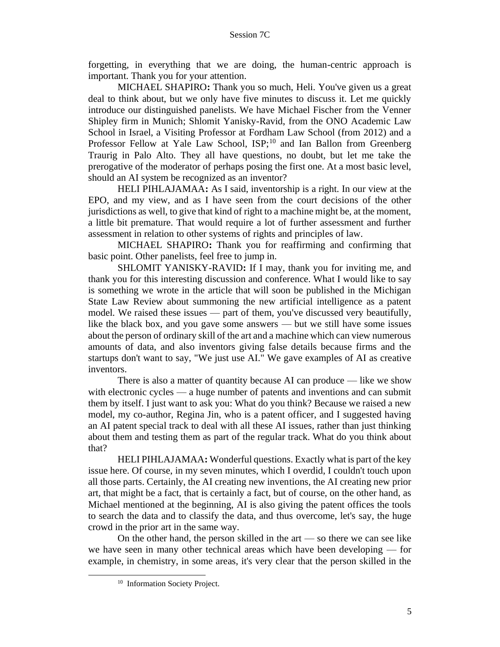forgetting, in everything that we are doing, the human-centric approach is important. Thank you for your attention.

MICHAEL SHAPIRO**:** Thank you so much, Heli. You've given us a great deal to think about, but we only have five minutes to discuss it. Let me quickly introduce our distinguished panelists. We have Michael Fischer from the Venner Shipley firm in Munich; Shlomit Yanisky-Ravid, from the ONO Academic Law School in Israel, a Visiting Professor at Fordham Law School (from 2012) and a Professor Fellow at Yale Law School, ISP;<sup>10</sup> and Ian Ballon from Greenberg Traurig in Palo Alto. They all have questions, no doubt, but let me take the prerogative of the moderator of perhaps posing the first one. At a most basic level, should an AI system be recognized as an inventor?

HELI PIHLAJAMAA**:** As I said, inventorship is a right. In our view at the EPO, and my view, and as I have seen from the court decisions of the other jurisdictions as well, to give that kind of right to a machine might be, at the moment, a little bit premature. That would require a lot of further assessment and further assessment in relation to other systems of rights and principles of law.

MICHAEL SHAPIRO**:** Thank you for reaffirming and confirming that basic point. Other panelists, feel free to jump in.

SHLOMIT YANISKY-RAVID**:** If I may, thank you for inviting me, and thank you for this interesting discussion and conference. What I would like to say is something we wrote in the article that will soon be published in the Michigan State Law Review about summoning the new artificial intelligence as a patent model. We raised these issues — part of them, you've discussed very beautifully, like the black box, and you gave some answers — but we still have some issues about the person of ordinary skill of the art and a machine which can view numerous amounts of data, and also inventors giving false details because firms and the startups don't want to say, "We just use AI." We gave examples of AI as creative inventors.

There is also a matter of quantity because AI can produce — like we show with electronic cycles — a huge number of patents and inventions and can submit them by itself. I just want to ask you: What do you think? Because we raised a new model, my co-author, Regina Jin, who is a patent officer, and I suggested having an AI patent special track to deal with all these AI issues, rather than just thinking about them and testing them as part of the regular track. What do you think about that?

HELI PIHLAJAMAA**:** Wonderful questions. Exactly what is part of the key issue here. Of course, in my seven minutes, which I overdid, I couldn't touch upon all those parts. Certainly, the AI creating new inventions, the AI creating new prior art, that might be a fact, that is certainly a fact, but of course, on the other hand, as Michael mentioned at the beginning, AI is also giving the patent offices the tools to search the data and to classify the data, and thus overcome, let's say, the huge crowd in the prior art in the same way.

On the other hand, the person skilled in the art — so there we can see like we have seen in many other technical areas which have been developing — for example, in chemistry, in some areas, it's very clear that the person skilled in the

<sup>&</sup>lt;sup>10</sup> Information Society Project.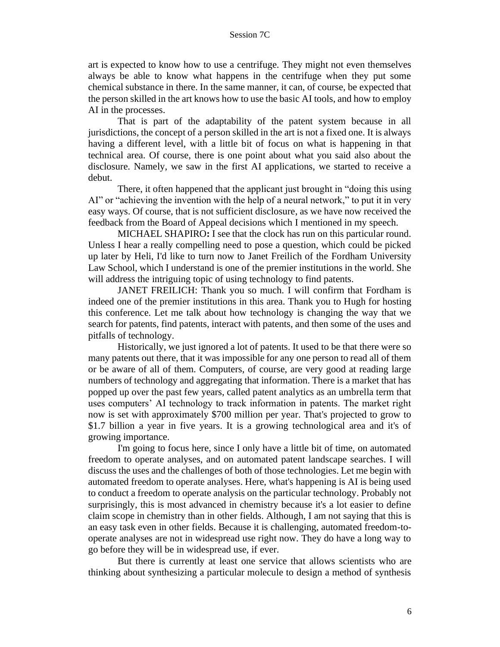art is expected to know how to use a centrifuge. They might not even themselves always be able to know what happens in the centrifuge when they put some chemical substance in there. In the same manner, it can, of course, be expected that the person skilled in the art knows how to use the basic AI tools, and how to employ AI in the processes.

That is part of the adaptability of the patent system because in all jurisdictions, the concept of a person skilled in the art is not a fixed one. It is always having a different level, with a little bit of focus on what is happening in that technical area. Of course, there is one point about what you said also about the disclosure. Namely, we saw in the first AI applications, we started to receive a debut.

There, it often happened that the applicant just brought in "doing this using AI" or "achieving the invention with the help of a neural network," to put it in very easy ways. Of course, that is not sufficient disclosure, as we have now received the feedback from the Board of Appeal decisions which I mentioned in my speech.

MICHAEL SHAPIRO**:** I see that the clock has run on this particular round. Unless I hear a really compelling need to pose a question, which could be picked up later by Heli, I'd like to turn now to Janet Freilich of the Fordham University Law School, which I understand is one of the premier institutions in the world. She will address the intriguing topic of using technology to find patents.

JANET FREILICH: Thank you so much. I will confirm that Fordham is indeed one of the premier institutions in this area. Thank you to Hugh for hosting this conference. Let me talk about how technology is changing the way that we search for patents, find patents, interact with patents, and then some of the uses and pitfalls of technology.

Historically, we just ignored a lot of patents. It used to be that there were so many patents out there, that it was impossible for any one person to read all of them or be aware of all of them. Computers, of course, are very good at reading large numbers of technology and aggregating that information. There is a market that has popped up over the past few years, called patent analytics as an umbrella term that uses computers' AI technology to track information in patents. The market right now is set with approximately \$700 million per year. That's projected to grow to \$1.7 billion a year in five years. It is a growing technological area and it's of growing importance.

I'm going to focus here, since I only have a little bit of time, on automated freedom to operate analyses, and on automated patent landscape searches. I will discuss the uses and the challenges of both of those technologies. Let me begin with automated freedom to operate analyses. Here, what's happening is AI is being used to conduct a freedom to operate analysis on the particular technology. Probably not surprisingly, this is most advanced in chemistry because it's a lot easier to define claim scope in chemistry than in other fields. Although, I am not saying that this is an easy task even in other fields. Because it is challenging, automated freedom-tooperate analyses are not in widespread use right now. They do have a long way to go before they will be in widespread use, if ever.

But there is currently at least one service that allows scientists who are thinking about synthesizing a particular molecule to design a method of synthesis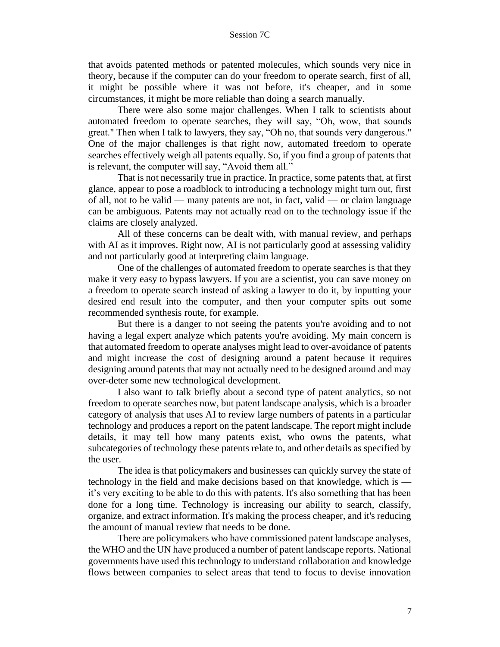that avoids patented methods or patented molecules, which sounds very nice in theory, because if the computer can do your freedom to operate search, first of all, it might be possible where it was not before, it's cheaper, and in some circumstances, it might be more reliable than doing a search manually.

There were also some major challenges. When I talk to scientists about automated freedom to operate searches, they will say, "Oh, wow, that sounds great." Then when I talk to lawyers, they say, "Oh no, that sounds very dangerous." One of the major challenges is that right now, automated freedom to operate searches effectively weigh all patents equally. So, if you find a group of patents that is relevant, the computer will say, "Avoid them all."

That is not necessarily true in practice. In practice, some patents that, at first glance, appear to pose a roadblock to introducing a technology might turn out, first of all, not to be valid — many patents are not, in fact, valid — or claim language can be ambiguous. Patents may not actually read on to the technology issue if the claims are closely analyzed.

All of these concerns can be dealt with, with manual review, and perhaps with AI as it improves. Right now, AI is not particularly good at assessing validity and not particularly good at interpreting claim language.

One of the challenges of automated freedom to operate searches is that they make it very easy to bypass lawyers. If you are a scientist, you can save money on a freedom to operate search instead of asking a lawyer to do it, by inputting your desired end result into the computer, and then your computer spits out some recommended synthesis route, for example.

But there is a danger to not seeing the patents you're avoiding and to not having a legal expert analyze which patents you're avoiding. My main concern is that automated freedom to operate analyses might lead to over-avoidance of patents and might increase the cost of designing around a patent because it requires designing around patents that may not actually need to be designed around and may over-deter some new technological development.

I also want to talk briefly about a second type of patent analytics, so not freedom to operate searches now, but patent landscape analysis, which is a broader category of analysis that uses AI to review large numbers of patents in a particular technology and produces a report on the patent landscape. The report might include details, it may tell how many patents exist, who owns the patents, what subcategories of technology these patents relate to, and other details as specified by the user.

The idea is that policymakers and businesses can quickly survey the state of technology in the field and make decisions based on that knowledge, which is it's very exciting to be able to do this with patents. It's also something that has been done for a long time. Technology is increasing our ability to search, classify, organize, and extract information. It's making the process cheaper, and it's reducing the amount of manual review that needs to be done.

There are policymakers who have commissioned patent landscape analyses, the WHO and the UN have produced a number of patent landscape reports. National governments have used this technology to understand collaboration and knowledge flows between companies to select areas that tend to focus to devise innovation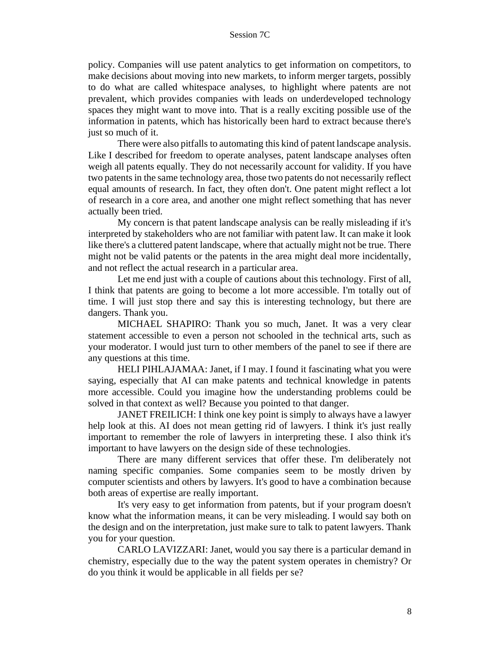policy. Companies will use patent analytics to get information on competitors, to make decisions about moving into new markets, to inform merger targets, possibly to do what are called whitespace analyses, to highlight where patents are not prevalent, which provides companies with leads on underdeveloped technology spaces they might want to move into. That is a really exciting possible use of the information in patents, which has historically been hard to extract because there's just so much of it.

There were also pitfalls to automating this kind of patent landscape analysis. Like I described for freedom to operate analyses, patent landscape analyses often weigh all patents equally. They do not necessarily account for validity. If you have two patents in the same technology area, those two patents do not necessarily reflect equal amounts of research. In fact, they often don't. One patent might reflect a lot of research in a core area, and another one might reflect something that has never actually been tried.

My concern is that patent landscape analysis can be really misleading if it's interpreted by stakeholders who are not familiar with patent law. It can make it look like there's a cluttered patent landscape, where that actually might not be true. There might not be valid patents or the patents in the area might deal more incidentally, and not reflect the actual research in a particular area.

Let me end just with a couple of cautions about this technology. First of all, I think that patents are going to become a lot more accessible. I'm totally out of time. I will just stop there and say this is interesting technology, but there are dangers. Thank you.

MICHAEL SHAPIRO: Thank you so much, Janet. It was a very clear statement accessible to even a person not schooled in the technical arts, such as your moderator. I would just turn to other members of the panel to see if there are any questions at this time.

HELI PIHLAJAMAA: Janet, if I may. I found it fascinating what you were saying, especially that AI can make patents and technical knowledge in patents more accessible. Could you imagine how the understanding problems could be solved in that context as well? Because you pointed to that danger.

JANET FREILICH: I think one key point is simply to always have a lawyer help look at this. AI does not mean getting rid of lawyers. I think it's just really important to remember the role of lawyers in interpreting these. I also think it's important to have lawyers on the design side of these technologies.

There are many different services that offer these. I'm deliberately not naming specific companies. Some companies seem to be mostly driven by computer scientists and others by lawyers. It's good to have a combination because both areas of expertise are really important.

It's very easy to get information from patents, but if your program doesn't know what the information means, it can be very misleading. I would say both on the design and on the interpretation, just make sure to talk to patent lawyers. Thank you for your question.

CARLO LAVIZZARI: Janet, would you say there is a particular demand in chemistry, especially due to the way the patent system operates in chemistry? Or do you think it would be applicable in all fields per se?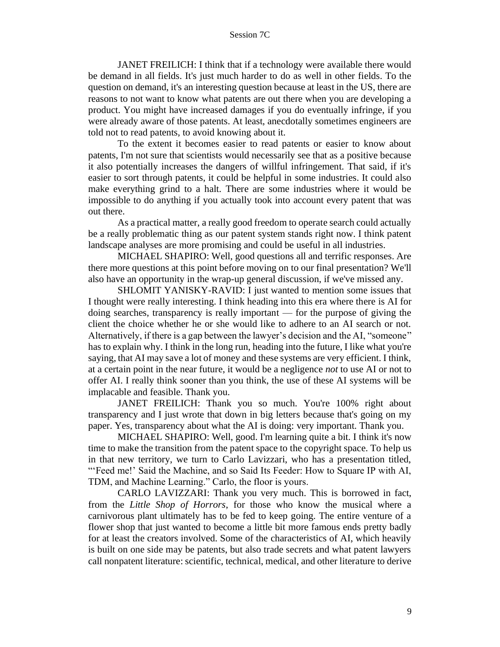JANET FREILICH: I think that if a technology were available there would be demand in all fields. It's just much harder to do as well in other fields. To the question on demand, it's an interesting question because at least in the US, there are reasons to not want to know what patents are out there when you are developing a product. You might have increased damages if you do eventually infringe, if you were already aware of those patents. At least, anecdotally sometimes engineers are told not to read patents, to avoid knowing about it.

To the extent it becomes easier to read patents or easier to know about patents, I'm not sure that scientists would necessarily see that as a positive because it also potentially increases the dangers of willful infringement. That said, if it's easier to sort through patents, it could be helpful in some industries. It could also make everything grind to a halt. There are some industries where it would be impossible to do anything if you actually took into account every patent that was out there.

As a practical matter, a really good freedom to operate search could actually be a really problematic thing as our patent system stands right now. I think patent landscape analyses are more promising and could be useful in all industries.

MICHAEL SHAPIRO: Well, good questions all and terrific responses. Are there more questions at this point before moving on to our final presentation? We'll also have an opportunity in the wrap-up general discussion, if we've missed any.

SHLOMIT YANISKY-RAVID: I just wanted to mention some issues that I thought were really interesting. I think heading into this era where there is AI for doing searches, transparency is really important — for the purpose of giving the client the choice whether he or she would like to adhere to an AI search or not. Alternatively, if there is a gap between the lawyer's decision and the AI, "someone" has to explain why. I think in the long run, heading into the future, I like what you're saying, that AI may save a lot of money and these systems are very efficient. I think, at a certain point in the near future, it would be a negligence *not* to use AI or not to offer AI. I really think sooner than you think, the use of these AI systems will be implacable and feasible. Thank you.

JANET FREILICH: Thank you so much. You're 100% right about transparency and I just wrote that down in big letters because that's going on my paper. Yes, transparency about what the AI is doing: very important. Thank you.

MICHAEL SHAPIRO: Well, good. I'm learning quite a bit. I think it's now time to make the transition from the patent space to the copyright space. To help us in that new territory, we turn to Carlo Lavizzari, who has a presentation titled, "'Feed me!' Said the Machine, and so Said Its Feeder: How to Square IP with AI, TDM, and Machine Learning." Carlo, the floor is yours.

CARLO LAVIZZARI: Thank you very much. This is borrowed in fact, from the *Little Shop of Horrors*, for those who know the musical where a carnivorous plant ultimately has to be fed to keep going. The entire venture of a flower shop that just wanted to become a little bit more famous ends pretty badly for at least the creators involved. Some of the characteristics of AI, which heavily is built on one side may be patents, but also trade secrets and what patent lawyers call nonpatent literature: scientific, technical, medical, and other literature to derive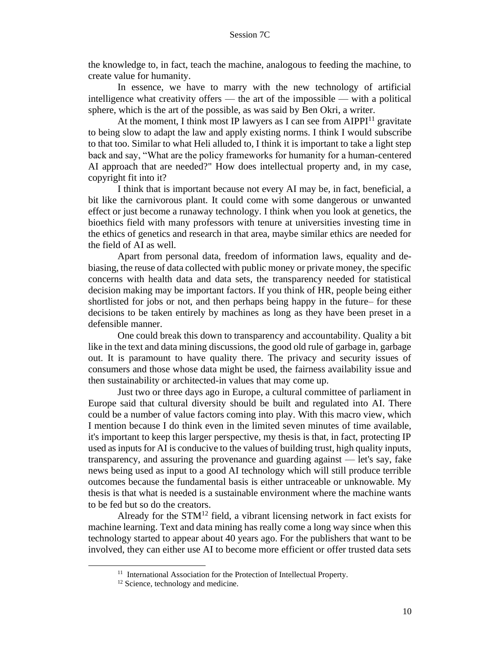the knowledge to, in fact, teach the machine, analogous to feeding the machine, to create value for humanity.

In essence, we have to marry with the new technology of artificial intelligence what creativity offers — the art of the impossible — with a political sphere, which is the art of the possible, as was said by Ben Okri, a writer.

At the moment, I think most IP lawyers as I can see from  $AIPPI<sup>11</sup>$  gravitate to being slow to adapt the law and apply existing norms. I think I would subscribe to that too. Similar to what Heli alluded to, I think it is important to take a light step back and say, "What are the policy frameworks for humanity for a human-centered AI approach that are needed?" How does intellectual property and, in my case, copyright fit into it?

I think that is important because not every AI may be, in fact, beneficial, a bit like the carnivorous plant. It could come with some dangerous or unwanted effect or just become a runaway technology. I think when you look at genetics, the bioethics field with many professors with tenure at universities investing time in the ethics of genetics and research in that area, maybe similar ethics are needed for the field of AI as well.

Apart from personal data, freedom of information laws, equality and debiasing, the reuse of data collected with public money or private money, the specific concerns with health data and data sets, the transparency needed for statistical decision making may be important factors. If you think of HR, people being either shortlisted for jobs or not, and then perhaps being happy in the future– for these decisions to be taken entirely by machines as long as they have been preset in a defensible manner.

One could break this down to transparency and accountability. Quality a bit like in the text and data mining discussions, the good old rule of garbage in, garbage out. It is paramount to have quality there. The privacy and security issues of consumers and those whose data might be used, the fairness availability issue and then sustainability or architected-in values that may come up.

Just two or three days ago in Europe, a cultural committee of parliament in Europe said that cultural diversity should be built and regulated into AI. There could be a number of value factors coming into play. With this macro view, which I mention because I do think even in the limited seven minutes of time available, it's important to keep this larger perspective, my thesis is that, in fact, protecting IP used as inputs for AI is conducive to the values of building trust, high quality inputs, transparency, and assuring the provenance and guarding against — let's say, fake news being used as input to a good AI technology which will still produce terrible outcomes because the fundamental basis is either untraceable or unknowable. My thesis is that what is needed is a sustainable environment where the machine wants to be fed but so do the creators.

Already for the  $STM^{12}$  field, a vibrant licensing network in fact exists for machine learning. Text and data mining has really come a long way since when this technology started to appear about 40 years ago. For the publishers that want to be involved, they can either use AI to become more efficient or offer trusted data sets

<sup>&</sup>lt;sup>11</sup> International Association for the Protection of Intellectual Property.

<sup>&</sup>lt;sup>12</sup> Science, technology and medicine.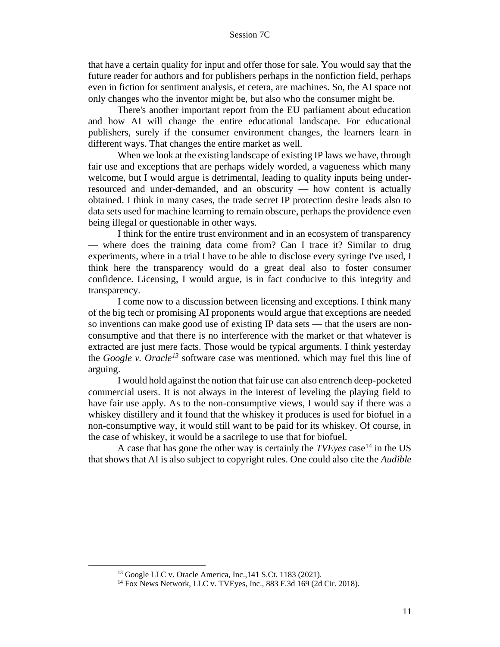that have a certain quality for input and offer those for sale. You would say that the future reader for authors and for publishers perhaps in the nonfiction field, perhaps even in fiction for sentiment analysis, et cetera, are machines. So, the AI space not only changes who the inventor might be, but also who the consumer might be.

There's another important report from the EU parliament about education and how AI will change the entire educational landscape. For educational publishers, surely if the consumer environment changes, the learners learn in different ways. That changes the entire market as well.

When we look at the existing landscape of existing IP laws we have, through fair use and exceptions that are perhaps widely worded, a vagueness which many welcome, but I would argue is detrimental, leading to quality inputs being underresourced and under-demanded, and an obscurity — how content is actually obtained. I think in many cases, the trade secret IP protection desire leads also to data sets used for machine learning to remain obscure, perhaps the providence even being illegal or questionable in other ways.

I think for the entire trust environment and in an ecosystem of transparency — where does the training data come from? Can I trace it? Similar to drug experiments, where in a trial I have to be able to disclose every syringe I've used, I think here the transparency would do a great deal also to foster consumer confidence. Licensing, I would argue, is in fact conducive to this integrity and transparency.

I come now to a discussion between licensing and exceptions. I think many of the big tech or promising AI proponents would argue that exceptions are needed so inventions can make good use of existing IP data sets — that the users are nonconsumptive and that there is no interference with the market or that whatever is extracted are just mere facts. Those would be typical arguments. I think yesterday the *Google v. Oracle<sup>13</sup>* software case was mentioned, which may fuel this line of arguing.

I would hold against the notion that fair use can also entrench deep-pocketed commercial users. It is not always in the interest of leveling the playing field to have fair use apply. As to the non-consumptive views, I would say if there was a whiskey distillery and it found that the whiskey it produces is used for biofuel in a non-consumptive way, it would still want to be paid for its whiskey. Of course, in the case of whiskey, it would be a sacrilege to use that for biofuel.

A case that has gone the other way is certainly the *TVE* yes case<sup>14</sup> in the US that shows that AI is also subject to copyright rules. One could also cite the *Audible*

<sup>13</sup> Google LLC v. Oracle America, Inc.,141 S.Ct. 1183 (2021).

<sup>14</sup> Fox News Network, LLC v. TVEyes, Inc., 883 F.3d 169 (2d Cir. 2018).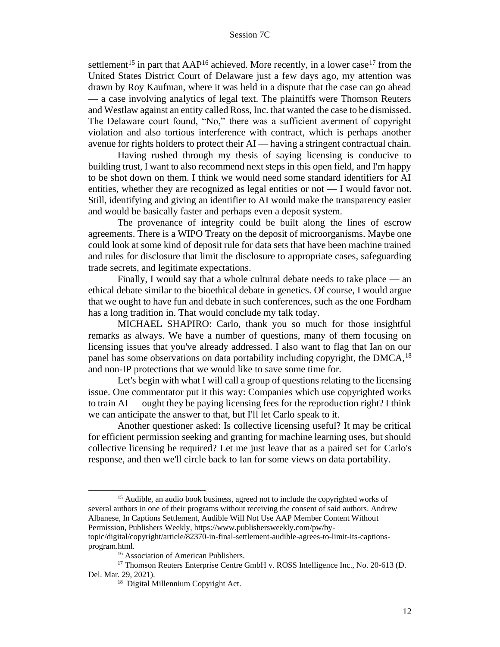settlement<sup>15</sup> in part that  $AAP^{16}$  achieved. More recently, in a lower case<sup>17</sup> from the United States District Court of Delaware just a few days ago, my attention was drawn by Roy Kaufman, where it was held in a dispute that the case can go ahead — a case involving analytics of legal text. The plaintiffs were Thomson Reuters and Westlaw against an entity called Ross, Inc. that wanted the case to be dismissed. The Delaware court found, "No," there was a sufficient averment of copyright violation and also tortious interference with contract, which is perhaps another avenue for rights holders to protect their AI — having a stringent contractual chain.

Having rushed through my thesis of saying licensing is conducive to building trust, I want to also recommend next steps in this open field, and I'm happy to be shot down on them. I think we would need some standard identifiers for AI entities, whether they are recognized as legal entities or not — I would favor not. Still, identifying and giving an identifier to AI would make the transparency easier and would be basically faster and perhaps even a deposit system.

The provenance of integrity could be built along the lines of escrow agreements. There is a WIPO Treaty on the deposit of microorganisms. Maybe one could look at some kind of deposit rule for data sets that have been machine trained and rules for disclosure that limit the disclosure to appropriate cases, safeguarding trade secrets, and legitimate expectations.

Finally, I would say that a whole cultural debate needs to take place — an ethical debate similar to the bioethical debate in genetics. Of course, I would argue that we ought to have fun and debate in such conferences, such as the one Fordham has a long tradition in. That would conclude my talk today.

MICHAEL SHAPIRO: Carlo, thank you so much for those insightful remarks as always. We have a number of questions, many of them focusing on licensing issues that you've already addressed. I also want to flag that Ian on our panel has some observations on data portability including copyright, the  $DMCA<sup>18</sup>$ and non-IP protections that we would like to save some time for.

Let's begin with what I will call a group of questions relating to the licensing issue. One commentator put it this way: Companies which use copyrighted works to train AI — ought they be paying licensing fees for the reproduction right? I think we can anticipate the answer to that, but I'll let Carlo speak to it.

Another questioner asked: Is collective licensing useful? It may be critical for efficient permission seeking and granting for machine learning uses, but should collective licensing be required? Let me just leave that as a paired set for Carlo's response, and then we'll circle back to Ian for some views on data portability.

<sup>&</sup>lt;sup>15</sup> Audible, an audio book business, agreed not to include the copyrighted works of several authors in one of their programs without receiving the consent of said authors. Andrew Albanese, In Captions Settlement, Audible Will Not Use AAP Member Content Without Permission, Publishers Weekly, https://www.publishersweekly.com/pw/by-

topic/digital/copyright/article/82370-in-final-settlement-audible-agrees-to-limit-its-captionsprogram.html.

<sup>&</sup>lt;sup>16</sup> Association of American Publishers.

<sup>17</sup> Thomson Reuters Enterprise Centre GmbH v. ROSS Intelligence Inc., No. 20-613 (D. Del. Mar. 29, 2021).

<sup>&</sup>lt;sup>18</sup> Digital Millennium Copyright Act.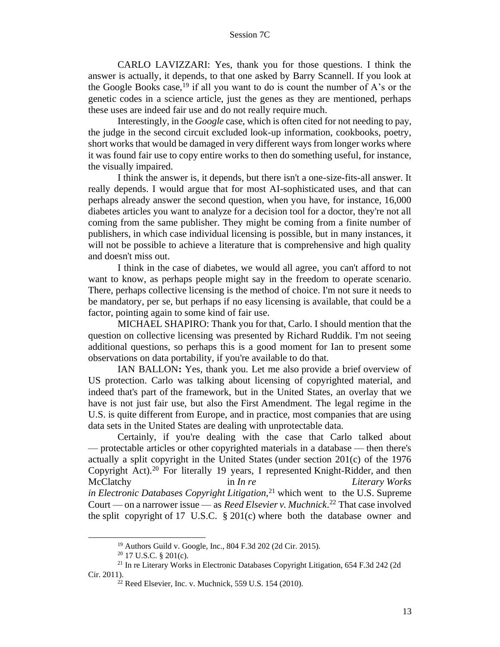CARLO LAVIZZARI: Yes, thank you for those questions. I think the answer is actually, it depends, to that one asked by Barry Scannell. If you look at the Google Books case,  $19$  if all you want to do is count the number of A's or the genetic codes in a science article, just the genes as they are mentioned, perhaps these uses are indeed fair use and do not really require much.

Interestingly, in the *Google* case, which is often cited for not needing to pay, the judge in the second circuit excluded look-up information, cookbooks, poetry, short works that would be damaged in very different ways from longer works where it was found fair use to copy entire works to then do something useful, for instance, the visually impaired.

I think the answer is, it depends, but there isn't a one-size-fits-all answer. It really depends. I would argue that for most AI-sophisticated uses, and that can perhaps already answer the second question, when you have, for instance, 16,000 diabetes articles you want to analyze for a decision tool for a doctor, they're not all coming from the same publisher. They might be coming from a finite number of publishers, in which case individual licensing is possible, but in many instances, it will not be possible to achieve a literature that is comprehensive and high quality and doesn't miss out.

I think in the case of diabetes, we would all agree, you can't afford to not want to know, as perhaps people might say in the freedom to operate scenario. There, perhaps collective licensing is the method of choice. I'm not sure it needs to be mandatory, per se, but perhaps if no easy licensing is available, that could be a factor, pointing again to some kind of fair use.

MICHAEL SHAPIRO: Thank you for that, Carlo. I should mention that the question on collective licensing was presented by Richard Ruddik. I'm not seeing additional questions, so perhaps this is a good moment for Ian to present some observations on data portability, if you're available to do that.

IAN BALLON**:** Yes, thank you. Let me also provide a brief overview of US protection. Carlo was talking about licensing of copyrighted material, and indeed that's part of the framework, but in the United States, an overlay that we have is not just fair use, but also the First Amendment. The legal regime in the U.S. is quite different from Europe, and in practice, most companies that are using data sets in the United States are dealing with unprotectable data.

Certainly, if you're dealing with the case that Carlo talked about — protectable articles or other copyrighted materials in a database — then there's actually a split copyright in the United States (under section 201(c) of the 1976 Copyright Act).<sup>20</sup> For literally 19 years, I represented Knight-Ridder, and then McClatchy in *In re Literary Works in Electronic Databases Copyright Litigation*, <sup>21</sup> which went to the U.S. Supreme Court — on a narrower issue — as *Reed Elsevier v. Muchnick*. <sup>22</sup> That case involved the split copyright of 17 U.S.C.  $\S 201(c)$  where both the database owner and

<sup>19</sup> Authors Guild v. Google, Inc., 804 F.3d 202 (2d Cir. 2015).

 $20$  17 U.S.C. § 201(c).

<sup>21</sup> In re Literary Works in Electronic Databases Copyright Litigation, 654 F.3d 242 (2d Cir. 2011).

 $22$  Reed Elsevier, Inc. v. Muchnick, 559 U.S. 154 (2010).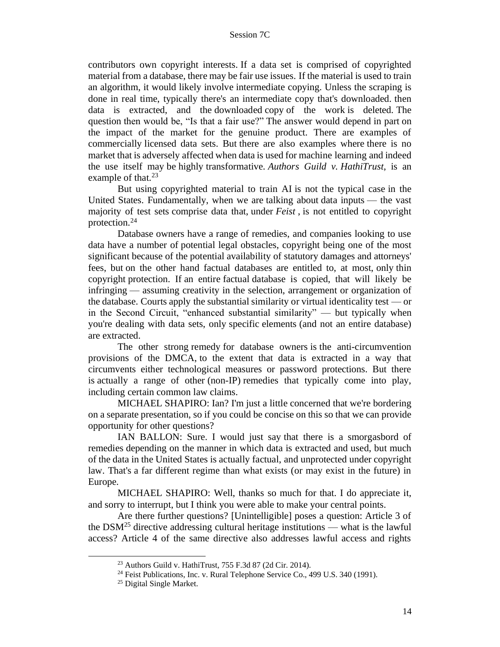contributors own copyright interests. If a data set is comprised of copyrighted material from a database, there may be fair use issues. If the material is used to train an algorithm, it would likely involve intermediate copying. Unless the scraping is done in real time, typically there's an intermediate copy that's downloaded. then data is extracted, and the downloaded copy of the work is deleted. The question then would be, "Is that a fair use?" The answer would depend in part on the impact of the market for the genuine product. There are examples of commercially licensed data sets. But there are also examples where there is no market that is adversely affected when data is used for machine learning and indeed the use itself may be highly transformative. *Authors Guild v. HathiTrust*, is an example of that.<sup>23</sup>

But using copyrighted material to train AI is not the typical case in the United States. Fundamentally, when we are talking about data inputs — the vast majority of test sets comprise data that, under *Feist* , is not entitled to copyright protection.<sup>24</sup>

Database owners have a range of remedies, and companies looking to use data have a number of potential legal obstacles, copyright being one of the most significant because of the potential availability of statutory damages and attorneys' fees, but on the other hand factual databases are entitled to, at most, only thin copyright protection. If an entire factual database is copied, that will likely be infringing — assuming creativity in the selection, arrangement or organization of the database. Courts apply the substantial similarity or virtual identicality test — or in the Second Circuit, "enhanced substantial similarity" — but typically when you're dealing with data sets, only specific elements (and not an entire database) are extracted.

The other strong remedy for database owners is the anti-circumvention provisions of the DMCA, to the extent that data is extracted in a way that circumvents either technological measures or password protections. But there is actually a range of other (non-IP) remedies that typically come into play, including certain common law claims.

MICHAEL SHAPIRO: Ian? I'm just a little concerned that we're bordering on a separate presentation, so if you could be concise on this so that we can provide opportunity for other questions?

IAN BALLON: Sure. I would just say that there is a smorgasbord of remedies depending on the manner in which data is extracted and used, but much of the data in the United States is actually factual, and unprotected under copyright law. That's a far different regime than what exists (or may exist in the future) in Europe.

MICHAEL SHAPIRO: Well, thanks so much for that. I do appreciate it, and sorry to interrupt, but I think you were able to make your central points.

Are there further questions? [Unintelligible] poses a question: Article 3 of the DSM<sup>25</sup> directive addressing cultural heritage institutions — what is the lawful access? Article 4 of the same directive also addresses lawful access and rights

<sup>23</sup> Authors Guild v. HathiTrust, 755 F.3d 87 (2d Cir. 2014).

<sup>&</sup>lt;sup>24</sup> Feist Publications, Inc. v. Rural Telephone Service Co., 499 U.S. 340 (1991).

<sup>&</sup>lt;sup>25</sup> Digital Single Market.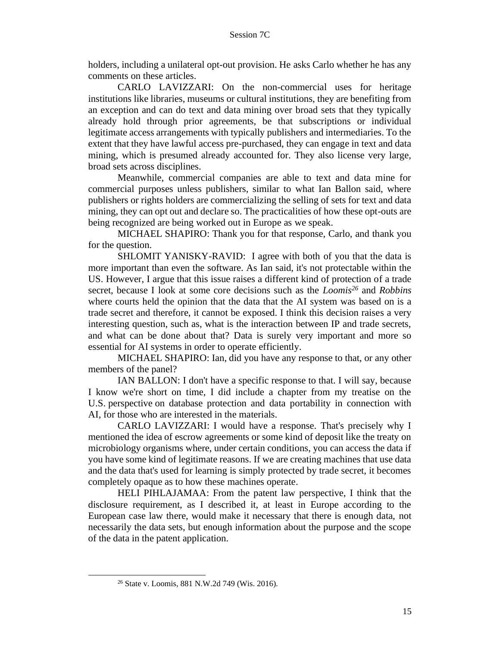holders, including a unilateral opt-out provision. He asks Carlo whether he has any comments on these articles.

CARLO LAVIZZARI: On the non-commercial uses for heritage institutions like libraries, museums or cultural institutions, they are benefiting from an exception and can do text and data mining over broad sets that they typically already hold through prior agreements, be that subscriptions or individual legitimate access arrangements with typically publishers and intermediaries. To the extent that they have lawful access pre-purchased, they can engage in text and data mining, which is presumed already accounted for. They also license very large, broad sets across disciplines.

Meanwhile, commercial companies are able to text and data mine for commercial purposes unless publishers, similar to what Ian Ballon said, where publishers or rights holders are commercializing the selling of sets for text and data mining, they can opt out and declare so. The practicalities of how these opt-outs are being recognized are being worked out in Europe as we speak.

MICHAEL SHAPIRO: Thank you for that response, Carlo, and thank you for the question.

SHLOMIT YANISKY-RAVID: I agree with both of you that the data is more important than even the software. As Ian said, it's not protectable within the US. However, I argue that this issue raises a different kind of protection of a trade secret, because I look at some core decisions such as the *Loomis<sup>26</sup>* and *Robbins* where courts held the opinion that the data that the AI system was based on is a trade secret and therefore, it cannot be exposed. I think this decision raises a very interesting question, such as, what is the interaction between IP and trade secrets, and what can be done about that? Data is surely very important and more so essential for AI systems in order to operate efficiently.

MICHAEL SHAPIRO: Ian, did you have any response to that, or any other members of the panel?

IAN BALLON: I don't have a specific response to that. I will say, because I know we're short on time, I did include a chapter from my treatise on the U.S. perspective on database protection and data portability in connection with AI, for those who are interested in the materials.

CARLO LAVIZZARI: I would have a response. That's precisely why I mentioned the idea of escrow agreements or some kind of deposit like the treaty on microbiology organisms where, under certain conditions, you can access the data if you have some kind of legitimate reasons. If we are creating machines that use data and the data that's used for learning is simply protected by trade secret, it becomes completely opaque as to how these machines operate.

HELI PIHLAJAMAA: From the patent law perspective, I think that the disclosure requirement, as I described it, at least in Europe according to the European case law there, would make it necessary that there is enough data, not necessarily the data sets, but enough information about the purpose and the scope of the data in the patent application.

<sup>26</sup> State v. Loomis, 881 N.W.2d 749 (Wis. 2016).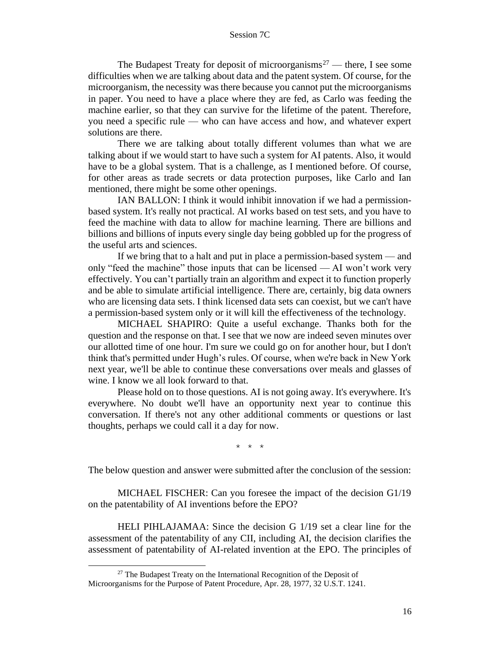The Budapest Treaty for deposit of microorganisms<sup>27</sup> — there, I see some difficulties when we are talking about data and the patent system. Of course, for the microorganism, the necessity was there because you cannot put the microorganisms in paper. You need to have a place where they are fed, as Carlo was feeding the machine earlier, so that they can survive for the lifetime of the patent. Therefore, you need a specific rule — who can have access and how, and whatever expert solutions are there.

There we are talking about totally different volumes than what we are talking about if we would start to have such a system for AI patents. Also, it would have to be a global system. That is a challenge, as I mentioned before. Of course, for other areas as trade secrets or data protection purposes, like Carlo and Ian mentioned, there might be some other openings.

IAN BALLON: I think it would inhibit innovation if we had a permissionbased system. It's really not practical. AI works based on test sets, and you have to feed the machine with data to allow for machine learning. There are billions and billions and billions of inputs every single day being gobbled up for the progress of the useful arts and sciences.

If we bring that to a halt and put in place a permission-based system — and only "feed the machine" those inputs that can be licensed — AI won't work very effectively. You can't partially train an algorithm and expect it to function properly and be able to simulate artificial intelligence. There are, certainly, big data owners who are licensing data sets. I think licensed data sets can coexist, but we can't have a permission-based system only or it will kill the effectiveness of the technology.

MICHAEL SHAPIRO: Quite a useful exchange. Thanks both for the question and the response on that. I see that we now are indeed seven minutes over our allotted time of one hour. I'm sure we could go on for another hour, but I don't think that's permitted under Hugh's rules. Of course, when we're back in New York next year, we'll be able to continue these conversations over meals and glasses of wine. I know we all look forward to that.

Please hold on to those questions. AI is not going away. It's everywhere. It's everywhere. No doubt we'll have an opportunity next year to continue this conversation. If there's not any other additional comments or questions or last thoughts, perhaps we could call it a day for now.

\* \* \*

The below question and answer were submitted after the conclusion of the session:

MICHAEL FISCHER: Can you foresee the impact of the decision G1/19 on the patentability of AI inventions before the EPO?

HELI PIHLAJAMAA: Since the decision G 1/19 set a clear line for the assessment of the patentability of any CII, including AI, the decision clarifies the assessment of patentability of AI-related invention at the EPO. The principles of

 $27$  The Budapest Treaty on the International Recognition of the Deposit of Microorganisms for the Purpose of Patent Procedure, Apr. 28, 1977, 32 U.S.T. 1241.